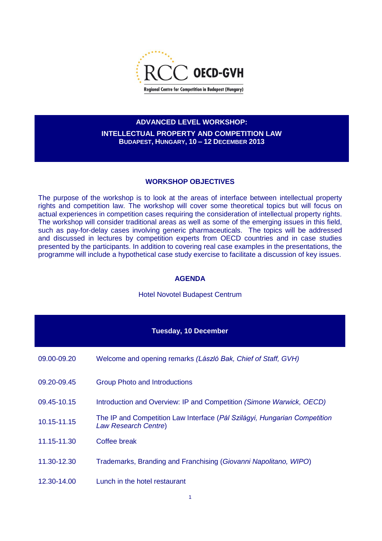

## **ADVANCED LEVEL WORKSHOP:**

**INTELLECTUAL PROPERTY AND COMPETITION LAW BUDAPEST, HUNGARY, 10 – 12 DECEMBER 2013**

## **WORKSHOP OBJECTIVES**

The purpose of the workshop is to look at the areas of interface between intellectual property rights and competition law. The workshop will cover some theoretical topics but will focus on actual experiences in competition cases requiring the consideration of intellectual property rights. The workshop will consider traditional areas as well as some of the emerging issues in this field, such as pay-for-delay cases involving generic pharmaceuticals. The topics will be addressed and discussed in lectures by competition experts from OECD countries and in case studies presented by the participants. In addition to covering real case examples in the presentations, the programme will include a hypothetical case study exercise to facilitate a discussion of key issues.

## **AGENDA**

## Hotel Novotel Budapest Centrum

| <b>Tuesday, 10 December</b> |                                                                                                   |  |
|-----------------------------|---------------------------------------------------------------------------------------------------|--|
| 09.00-09.20                 | Welcome and opening remarks (László Bak, Chief of Staff, GVH)                                     |  |
| 09.20-09.45                 | <b>Group Photo and Introductions</b>                                                              |  |
| 09.45-10.15                 | Introduction and Overview: IP and Competition (Simone Warwick, OECD)                              |  |
| 10.15-11.15                 | The IP and Competition Law Interface (Pál Szilágyi, Hungarian Competition<br>Law Research Centre) |  |
| 11.15-11.30                 | Coffee break                                                                                      |  |
| 11.30-12.30                 | Trademarks, Branding and Franchising (Giovanni Napolitano, WIPO)                                  |  |
| 12.30-14.00                 | Lunch in the hotel restaurant                                                                     |  |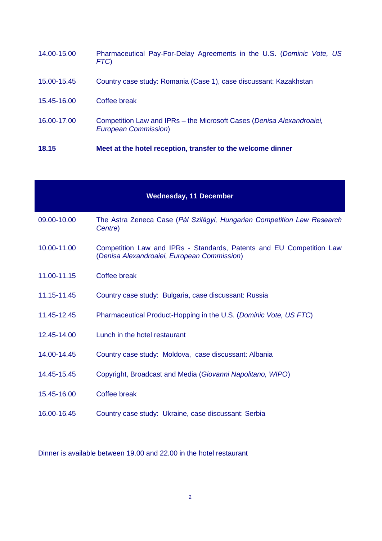| 18.15       | Meet at the hotel reception, transfer to the welcome dinner                                           |
|-------------|-------------------------------------------------------------------------------------------------------|
| 16.00-17.00 | Competition Law and IPRs – the Microsoft Cases (Denisa Alexandroaiei,<br><b>European Commission</b> ) |
| 15.45-16.00 | Coffee break                                                                                          |
| 15.00-15.45 | Country case study: Romania (Case 1), case discussant: Kazakhstan                                     |
| 14.00-15.00 | Pharmaceutical Pay-For-Delay Agreements in the U.S. (Dominic Vote, US<br>FTC)                         |

| <b>Wednesday, 11 December</b> |                                                                                                                     |  |
|-------------------------------|---------------------------------------------------------------------------------------------------------------------|--|
| 09.00-10.00                   | The Astra Zeneca Case (Pál Szilágyi, Hungarian Competition Law Research<br>Centre)                                  |  |
| 10.00-11.00                   | Competition Law and IPRs - Standards, Patents and EU Competition Law<br>(Denisa Alexandroaiei, European Commission) |  |
| 11.00-11.15                   | Coffee break                                                                                                        |  |
| 11.15-11.45                   | Country case study: Bulgaria, case discussant: Russia                                                               |  |
| 11.45-12.45                   | Pharmaceutical Product-Hopping in the U.S. (Dominic Vote, US FTC)                                                   |  |
| 12.45-14.00                   | Lunch in the hotel restaurant                                                                                       |  |
| 14.00-14.45                   | Country case study: Moldova, case discussant: Albania                                                               |  |
| 14.45-15.45                   | Copyright, Broadcast and Media (Giovanni Napolitano, WIPO)                                                          |  |
| 15.45-16.00                   | Coffee break                                                                                                        |  |
| 16.00-16.45                   | Country case study: Ukraine, case discussant: Serbia                                                                |  |

Dinner is available between 19.00 and 22.00 in the hotel restaurant